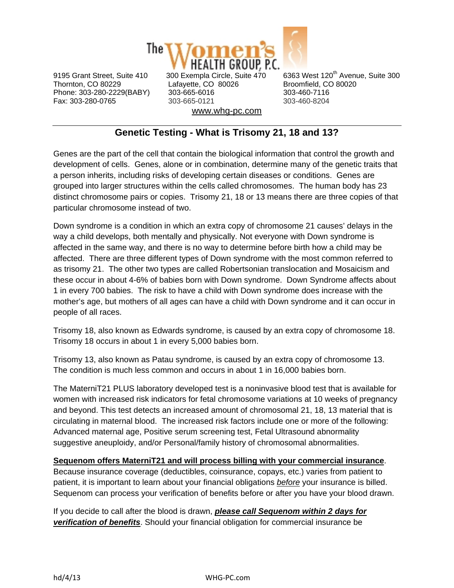

Thornton, CO 80229 Lafayette, CO 80026 Broomfield, CO 80020 Phone: 303-280-2229(BABY) 303-665-6016 303-460-7116 Fax: 303-280-0765 303-665-0121 303-460-8204 www.whg-pc.com

9195 Grant Street, Suite 410 300 Exempla Circle, Suite 470 6363 West 120<sup>th</sup> Avenue, Suite 300

## **Genetic Testing - What is Trisomy 21, 18 and 13?**

Genes are the part of the cell that contain the biological information that control the growth and development of cells. Genes, alone or in combination, determine many of the genetic traits that a person inherits, including risks of developing certain diseases or conditions. Genes are grouped into larger structures within the cells called chromosomes. The human body has 23 distinct chromosome pairs or copies. Trisomy 21, 18 or 13 means there are three copies of that particular chromosome instead of two.

Down syndrome is a condition in which an extra copy of chromosome 21 causes' delays in the way a child develops, both mentally and physically. Not everyone with Down syndrome is affected in the same way, and there is no way to determine before birth how a child may be affected. There are three different types of Down syndrome with the most common referred to as trisomy 21. The other two types are called Robertsonian translocation and Mosaicism and these occur in about 4-6% of babies born with Down syndrome. Down Syndrome affects about 1 in every 700 babies. The risk to have a child with Down syndrome does increase with the mother's age, but mothers of all ages can have a child with Down syndrome and it can occur in people of all races.

Trisomy 18, also known as Edwards syndrome, is caused by an extra copy of chromosome 18. Trisomy 18 occurs in about 1 in every 5,000 babies born.

Trisomy 13, also known as Patau syndrome, is caused by an extra copy of chromosome 13. The condition is much less common and occurs in about 1 in 16,000 babies born.

The MaterniT21 PLUS laboratory developed test is a noninvasive blood test that is available for women with increased risk indicators for fetal chromosome variations at 10 weeks of pregnancy and beyond. This test detects an increased amount of chromosomal 21, 18, 13 material that is circulating in maternal blood. The increased risk factors include one or more of the following: Advanced maternal age, Positive serum screening test, Fetal Ultrasound abnormality suggestive aneuploidy, and/or Personal/family history of chromosomal abnormalities.

**Sequenom offers MaterniT21 and will process billing with your commercial insurance**. Because insurance coverage (deductibles, coinsurance, copays, etc.) varies from patient to patient, it is important to learn about your financial obligations *before* your insurance is billed. Sequenom can process your verification of benefits before or after you have your blood drawn.

If you decide to call after the blood is drawn, *please call Sequenom within 2 days for verification of benefits*. Should your financial obligation for commercial insurance be